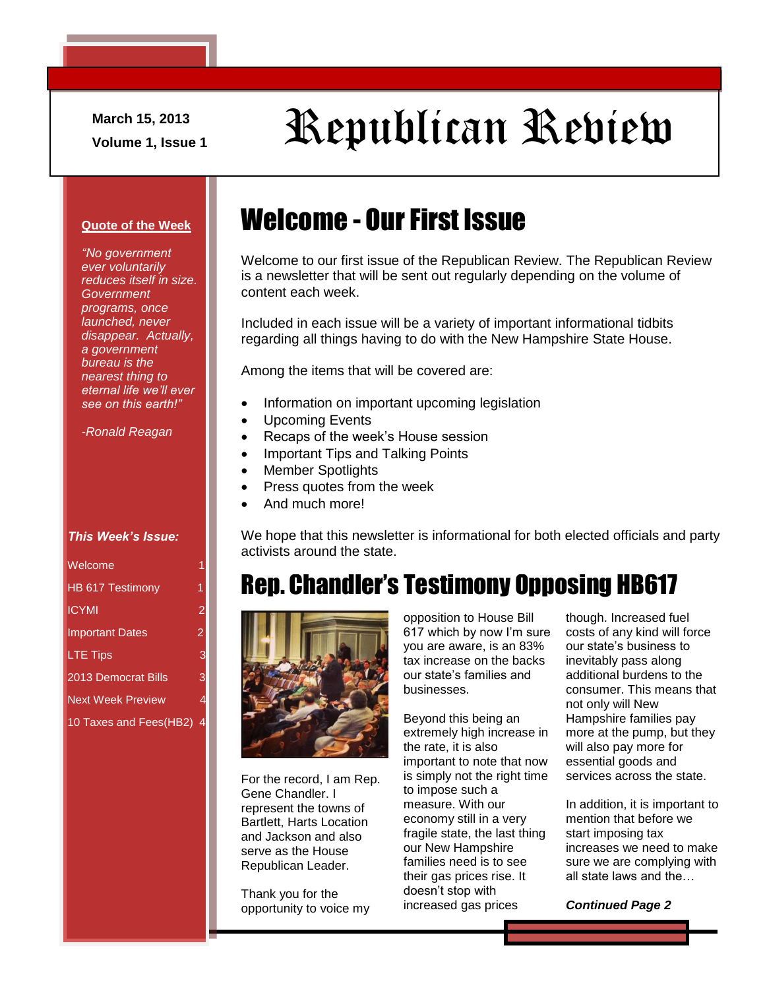**March 15, 2013**

# March 15, 2013<br>Volume 1, Issue 1<br>Volume 1, Issue 1

#### **Quote of the Week**

*"No government ever voluntarily reduces itself in size. Government programs, once launched, never disappear. Actually, a government bureau is the nearest thing to eternal life we'll ever see on this earth!"*

*-Ronald Reagan*

#### *This Week's Issue:*

| Welcome                    |                |
|----------------------------|----------------|
| HB 617 Testimony           | 1              |
| <b>ICYMI</b>               | $\overline{2}$ |
| <b>Important Dates</b>     | $\overline{2}$ |
| <b>LTE Tips</b>            | Ģ              |
| <b>2013 Democrat Bills</b> | 3              |
| <b>Next Week Preview</b>   |                |
| 10 Taxes and Fees(HB2)     |                |

## Welcome - Our First Issue

Welcome to our first issue of the Republican Review. The Republican Review is a newsletter that will be sent out regularly depending on the volume of content each week.

Included in each issue will be a variety of important informational tidbits regarding all things having to do with the New Hampshire State House.

Among the items that will be covered are:

- Information on important upcoming legislation
- Upcoming Events
- Recaps of the week's House session
- Important Tips and Talking Points
- Member Spotlights
- Press quotes from the week
- And much more!

We hope that this newsletter is informational for both elected officials and party activists around the state.

### Rep. Chandler's Testimony Opposing HB617



For the record, I am Rep. Gene Chandler. I represent the towns of Bartlett, Harts Location and Jackson and also serve as the House Republican Leader.

Thank you for the opportunity to voice my opposition to House Bill 617 which by now I'm sure you are aware, is an 83% tax increase on the backs our state's families and businesses.

Beyond this being an extremely high increase in the rate, it is also important to note that now is simply not the right time to impose such a measure. With our economy still in a very fragile state, the last thing our New Hampshire families need is to see their gas prices rise. It doesn't stop with increased gas prices

though. Increased fuel costs of any kind will force our state's business to inevitably pass along additional burdens to the consumer. This means that not only will New Hampshire families pay more at the pump, but they will also pay more for essential goods and services across the state.

In addition, it is important to mention that before we start imposing tax increases we need to make sure we are complying with all state laws and the…

*Continued Page 2*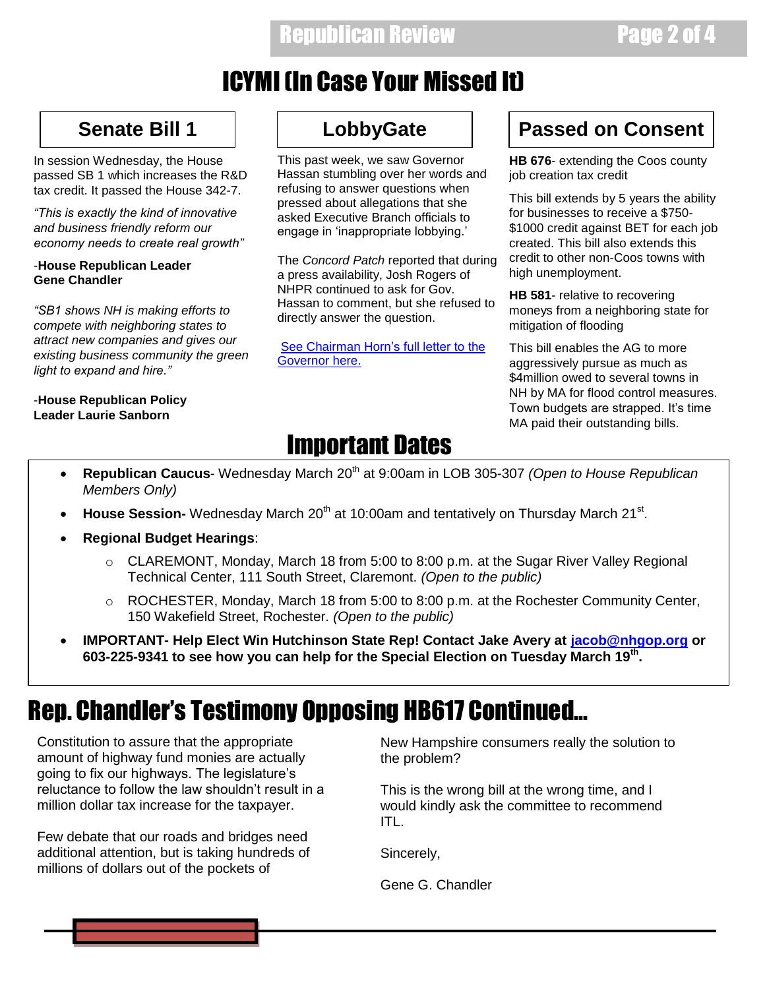### Republican Review **Page 2 of 4**

### ICYMI (In Case Your Missed It)

In session Wednesday, the House passed SB 1 which increases the R&D tax credit. It passed the House 342-7.

*"This is exactly the kind of innovative and business friendly reform our economy needs to create real growth"*

#### -**House Republican Leader Gene Chandler**

*"SB1 shows NH is making efforts to compete with neighboring states to attract new companies and gives our existing business community the green light to expand and hire."*

-**House Republican Policy Leader Laurie Sanborn**

This past week, we saw Governor Hassan stumbling over her words and refusing to answer questions when pressed about allegations that she asked Executive Branch officials to engage in 'inappropriate lobbying.'

The *Concord Patch* reported that during a press availability, Josh Rogers of NHPR continued to ask for Gov. Hassan to comment, but she refused to directly answer the question.

[See Chairman Horn's full letter to the](http://nhgop.org/news/detail/469)  [Governor here.](http://nhgop.org/news/detail/469)

### **Senate Bill 1 LobbyGate Passed on Consent**

**HB 676**- extending the Coos county job creation tax credit

This bill extends by 5 years the ability for businesses to receive a \$750- \$1000 credit against BET for each job created. This bill also extends this credit to other non-Coos towns with high unemployment.

**HB 581**- relative to recovering moneys from a neighboring state for mitigation of flooding

This bill enables the AG to more aggressively pursue as much as \$4million owed to several towns in NH by MA for flood control measures. Town budgets are strapped. It's time MA paid their outstanding bills.

## Important Dates

- **Republican Caucus** Wednesday March 20<sup>th</sup> at 9:00am in LOB 305-307 *(Open to House Republican Members Only)*
- House Session- Wednesday March 20<sup>th</sup> at 10:00am and tentatively on Thursday March 21<sup>st</sup>.
- **Regional Budget Hearings**:
	- o CLAREMONT, Monday, March 18 from 5:00 to 8:00 p.m. at the Sugar River Valley Regional Technical Center, 111 South Street, Claremont. *(Open to the public)*
	- $\circ$  ROCHESTER, Monday, March 18 from 5:00 to 8:00 p.m. at the Rochester Community Center, 150 Wakefield Street, Rochester. *(Open to the public)*
- **IMPORTANT- Help Elect Win Hutchinson State Rep! Contact Jake Avery at [jacob@nhgop.org](mailto:jacob@nhgop.org?subject=Help%20Win%20Hutchinson%20) or 603-225-9341 to see how you can help for the Special Election on Tuesday March 19th .**

### Rep. Chandler's Testimony Opposing HB617 Continued…

Constitution to assure that the appropriate amount of highway fund monies are actually going to fix our highways. The legislature's reluctance to follow the law shouldn't result in a million dollar tax increase for the taxpayer.

Few debate that our roads and bridges need additional attention, but is taking hundreds of millions of dollars out of the pockets of

New Hampshire consumers really the solution to the problem?

This is the wrong bill at the wrong time, and I would kindly ask the committee to recommend ITL.

Sincerely,

Gene G. Chandler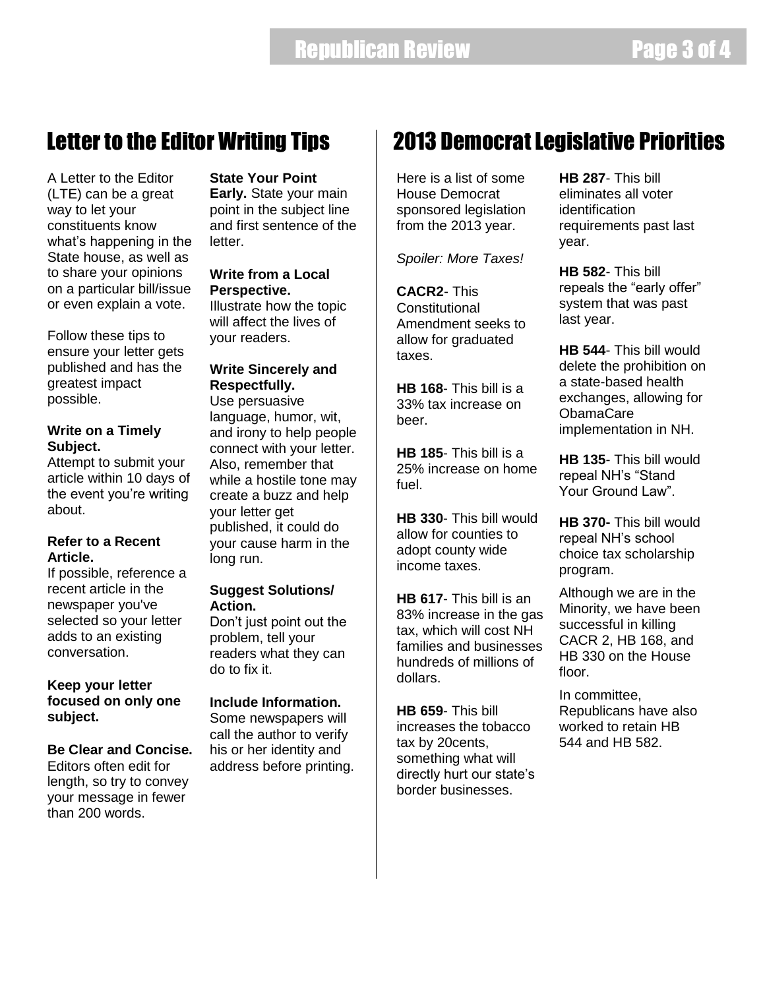### Letter to the Editor Writing Tips

A Letter to the Editor (LTE) can be a great way to let your constituents know what's happening in the State house, as well as to share your opinions on a particular bill/issue or even explain a vote.

Follow these tips to ensure your letter gets published and has the greatest impact possible.

#### **Write on a Timely Subject.**

Attempt to submit your article within 10 days of the event you're writing about.

### **Refer to a Recent Article.**

If possible, reference a recent article in the newspaper you've selected so your letter adds to an existing conversation.

#### **Keep your letter focused on only one subject.**

### **Be Clear and Concise.**

Editors often edit for length, so try to convey your message in fewer than 200 words.

### **State Your Point**

**Early.** State your main point in the subject line and first sentence of the letter.

### **Write from a Local Perspective.**

Illustrate how the topic will affect the lives of your readers.

**Write Sincerely and Respectfully.**  Use persuasive language, humor, wit, and irony to help people connect with your letter. Also, remember that while a hostile tone may create a buzz and help your letter get published, it could do your cause harm in the long run.

### **Suggest Solutions/ Action.**

Don't just point out the problem, tell your readers what they can do to fix it.

### **Include Information.**

Some newspapers will call the author to verify his or her identity and address before printing.

### 2013 Democrat Legislative Priorities

Here is a list of some House Democrat sponsored legislation from the 2013 year.

*Spoiler: More Taxes!*

**CACR2**- This **Constitutional** Amendment seeks to allow for graduated taxes.

**HB 168**- This bill is a 33% tax increase on beer.

**HB 185**- This bill is a 25% increase on home fuel.

**HB 330**- This bill would allow for counties to adopt county wide income taxes.

**HB 617**- This bill is an 83% increase in the gas tax, which will cost NH families and businesses hundreds of millions of dollars.

**HB 659**- This bill increases the tobacco tax by 20cents, something what will directly hurt our state's border businesses.

**HB 287**- This bill eliminates all voter identification requirements past last year.

**HB 582**- This bill repeals the "early offer" system that was past last year.

**HB 544**- This bill would delete the prohibition on a state-based health exchanges, allowing for ObamaCare implementation in NH.

**HB 135**- This bill would repeal NH's "Stand Your Ground Law".

**HB 370-** This bill would repeal NH's school choice tax scholarship program.

Although we are in the Minority, we have been successful in killing CACR 2, HB 168, and HB 330 on the House floor.

In committee, Republicans have also worked to retain HB 544 and HB 582.